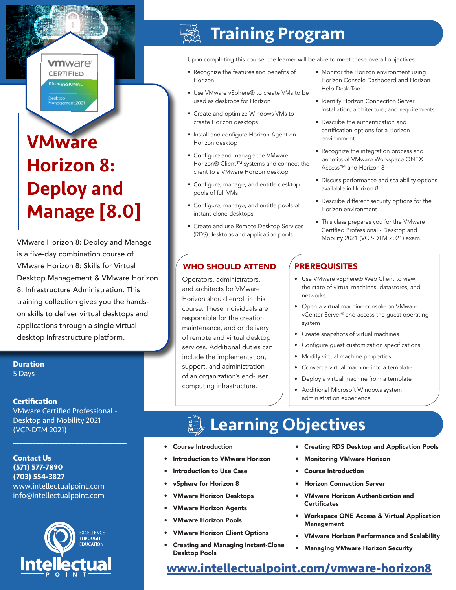#### **vm**ware<sup>®</sup> **CERTIFIED PROFESSIONAL**

–<br>Desktop<br>Management 2021

# **VMware** Horizon 8: Deploy and Manage [8.0]

VMware Horizon 8: Deploy and Manage is a five-day combination course of VMware Horizon 8: Skills for Virtual Desktop Management & VMware Horizon 8: Infrastructure Administration. This training collection gives you the handson skills to deliver virtual desktops and applications through a single virtual desktop infrastructure platform.

#### **Duration** 5 Days

 $\mathcal{L}_\text{max}$  and  $\mathcal{L}_\text{max}$  and  $\mathcal{L}_\text{max}$  and  $\mathcal{L}_\text{max}$ 

#### **Certification**

VMware Certified Professional - Desktop and Mobility 2021 (VCP-DTM 2021)

 $\mathcal{L}_\text{max}$  and  $\mathcal{L}_\text{max}$  and  $\mathcal{L}_\text{max}$  and  $\mathcal{L}_\text{max}$ 

 $\mathcal{L}_\text{max}$  and  $\mathcal{L}_\text{max}$  and  $\mathcal{L}_\text{max}$  and  $\mathcal{L}_\text{max}$ 

#### **Contact Us (571) 577-7890 (703) 554-3827** www.intellectualpoint.com info@intellectualpoint.com



# Training Program

Upon completing this course, the learner will be able to meet these overall objectives:

- Recognize the features and benefits of Horizon
- Use VMware vSphere® to create VMs to be used as desktops for Horizon
- Create and optimize Windows VMs to create Horizon desktops
- Install and configure Horizon Agent on Horizon desktop
- Configure and manage the VMware Horizon® Client™ systems and connect the client to a VMware Horizon desktop
- Configure, manage, and entitle desktop pools of full VMs
- Configure, manage, and entitle pools of instant-clone desktops
- Create and use Remote Desktop Services (RDS) desktops and application pools

### WHO SHOULD ATTEND | PREREQUISITES

Operators, administrators, and architects for VMware Horizon should enroll in this course. These individuals are responsible for the creation, maintenance, and or delivery of remote and virtual desktop services. Additional duties can include the implementation, support, and administration of an organization's end-user computing infrastructure.

- Monitor the Horizon environment using Horizon Console Dashboard and Horizon Help Desk Tool
- Identify Horizon Connection Server installation, architecture, and requirements.
- Describe the authentication and certification options for a Horizon environment
- Recognize the integration process and benefits of VMware Workspace ONE® Access™ and Horizon 8
- Discuss performance and scalability options available in Horizon 8
- Describe different security options for the Horizon environment
- This class prepares you for the VMware Certified Professional - Desktop and Mobility 2021 (VCP-DTM 2021) exam.

- Use VMware vSphere® Web Client to view the state of virtual machines, datastores, and networks
- Open a virtual machine console on VMware vCenter Server® and access the guest operating system
- Create snapshots of virtual machines
- Configure guest customization specifications
- Modify virtual machine properties
- Convert a virtual machine into a template
- Deploy a virtual machine from a template
- Additional Microsoft Windows system administration experience

# Learning Objectives

- Course Introduction
- Introduction to VMware Horizon
- Introduction to Use Case
- vSphere for Horizon 8
- VMware Horizon Desktops
- VMware Horizon Agents
- VMware Horizon Pools
- VMware Horizon Client Options
- Creating and Managing Instant-Clone Desktop Pools
- Creating RDS Desktop and Application Pools
- Monitoring VMware Horizon
- Course Introduction
- Horizon Connection Server
- VMware Horizon Authentication and **Certificates**
- Workspace ONE Access & Virtual Application Management
- VMware Horizon Performance and Scalability
- Managing VMware Horizon Security

## **[www.intellectualpoint.com/](https://www.intellectualpoint.com/product/vmware-horizon-8/)vmware-horizon8**